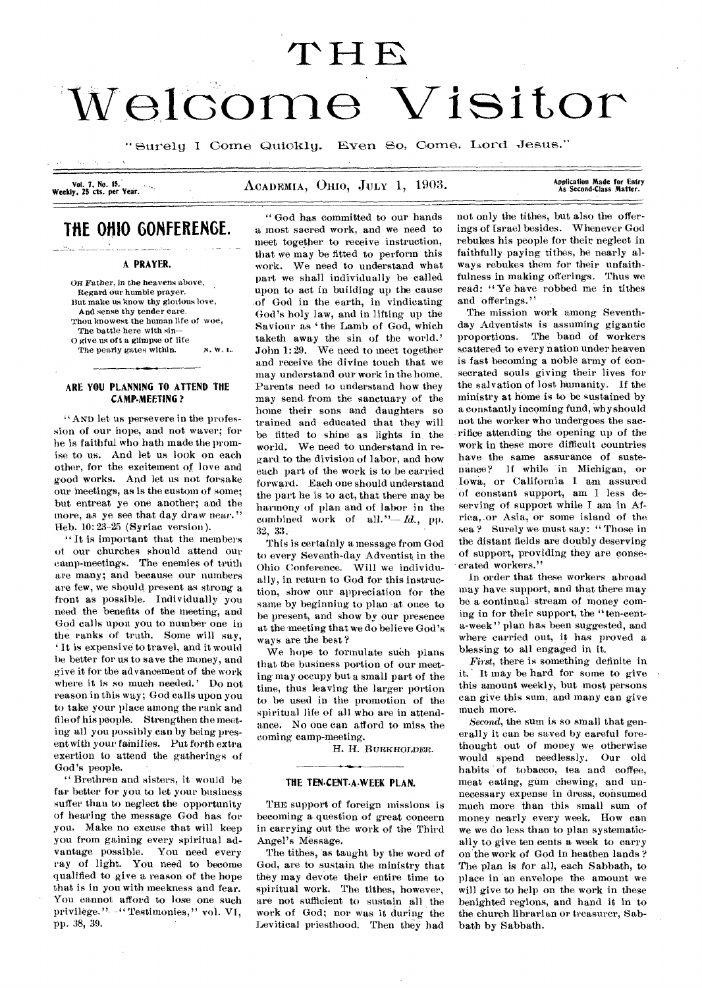# $THE$ Welcome Visitor

" Surely I Come Quickly. Even So, Come. Lord Jesus."

**Vol. 7, No. 15.** 

 $\sim$ 

ACADEMIA, OHIO, JULY 1, 1903.

**Application Made for Entry<br>As Second-Class Matter.** 

# **ME 0810 GONFERENGE.**

## **A PRAYER.**

OR Father, in the heavens above, Regard our humble prayer. But make us know thy glorious love, And sense thy tender care. Thou knowest the human life of woe, The battle here with sin— O give us oft a glimpse of life

The pearly gates within. N. W. L.

## **ARE YOU PLANNING TO ATTEND THE CAMP-MEETING?**

"AND let us persevere in the profession of our hope, and not waver; for he is faithful who hath made the promise to us. And let us look on each other, for the excitement of love and good works. And let us not forsake our meetings, as is the custom of some; but entreat ye one another; and the more, as ye see that day draw near." Heb. 10: 23-25 (Syriac version ).

'It is important that the members of our churches should attend our camp-meetings. The enemies of truth are many; and because our numbers are few, we should, present as strong a front as possible. Individually you need the benefits of the meeting, and God calls upon you to number one in the ranks of truth. Some will say, ' It is expensive to travel, and it would be better for us to save the money, and give it for the advancement of the work where it is so much needed.' Do not reason in this way; God calls upon you to take your place among the rank and tile of his people. Strengthen the meeting all you possibly can by being present with your fainilies. Put forth extra exertion to attend the gatherings of God's people.

" Brethren and sisters, it would be far better for you to let your business suffer than to neglect the opportunity of hearing the message God has for you. Make no excuse that will keep you from gaining every spiritual advantage possible. You need every ray of light. You need to become qualified to give a reason of the hope that is in you with meekness and fear. You cannot afford to lose one such privilege.". "" Testimonies," vol. VI, pp. 38, 39.

" God has committed to our hands a most sacred work, and we need to meet together to receive instruction, that we may be fitted to perform this work. We need to understand what part we shall individually be called upon to act in building up the cause .of God in the earth, in vindicating God's holy law, and in lifting up the Saviour as ' the Lamb of God, which taketh away the sin of the world.' John 1: 29. We need to meet together and receive the divine touch that we may understand our work in the home. Parents need to understand how they may send• from the sanctuary of the home their sons and daughters so trained and educated that they will be fitted to shine as lights in, the world. We need to understand in regard, to the division of labor, and how each part of the work is to be carried forward. Each one should understand the part he is to act, that there may be harmony of plan and of labor in the combined work of all."-Id., pp. 32, 33.

This is certainly a message from God to every Seventh-day Adventist, in the Ohio Conference. Will we individually, in return to God for this instruction, show our appreciation for the same by beginning to plan -at once to be present, and show by our presence at the meeting that we do believe God's ways are the best?

We hope to formulate such plans that the business portion of our meeting may occupy but a small part of the time, thus leaving the larger portion to be used in the promotion of the spiritual life of all who are in attendance. No one can afford to miss the coming camp-meeting.

H. H. BURKHOLDER.

## **THE TEN•CENT.A.WEEK PLAN.**

THE support of foreign missions is becoming a question of great concern in carrying out the work of the Third Angel's Message.

The tithes, as taught by the word of God, are to sustain the ministry that they may devote their entire time to spiritual work. The tithes, however, are not sufficient to sustain all the work of God; nor was it during the Levitical priesthood. Then they had not only the tithes, but also the offerings of Israel besides. Whenever God rebukes his people for their neglect in faithfully paying tithes, he nearly always rebukes them for their unfaithfulness in making offerings. Thus we read: " Ye have robbed me in tithes and offerings."

The mission work among Seventhday Adventists is assuming gigantic proportions. The band of workers scattered to every nation under heaven is fast becoming a noble army of consecrated souls giving their lives for the salvation of lost humanity. If the ministry at hOme is to be sustained by a constantly incoming fund, why should not the worker who undergoes the sacrifice attending the opening up of the work in these more difficult countries have the same assurance of sustenance? If while in Michigan, or Iowa, or California I am assured of constant support, am 1 less deserving of support while I am in Africa,,or Asia, or some island of the sea ? Surely we must say: " Those in the distant fields are doubly deserving of support, providing they are consecrated workers."

In order that these workers abroad may have support, and that there may be a continual stream of money coming in for their support, the " ten-centa-week " plan has been suggested, and where carried out, it has proved a blessing to all engaged in it.

*First,* there is something definite in it. It may be hard for some to give this amount weekly, but most persons can give this sum, and many can give much more.

Second, the sum is so small that generally it can be saved by careful forethought out of money we otherwise would spend needlessly. Our old habits of tobacco, tea and coffee, meat eating, gum chewing, and unnecessary expense in dress, consumed much more than this small sum of money nearly every week. How can we we do less than to plan systematically to give ten cents a week to carry on'the work of God in heathen lands ? The plan is for all, each Sabbath, to place in an envelope the amount we will give to help on the work in these benighted regions, and hand it in to the church librarian or treasurer, Sabbath by Sabbath.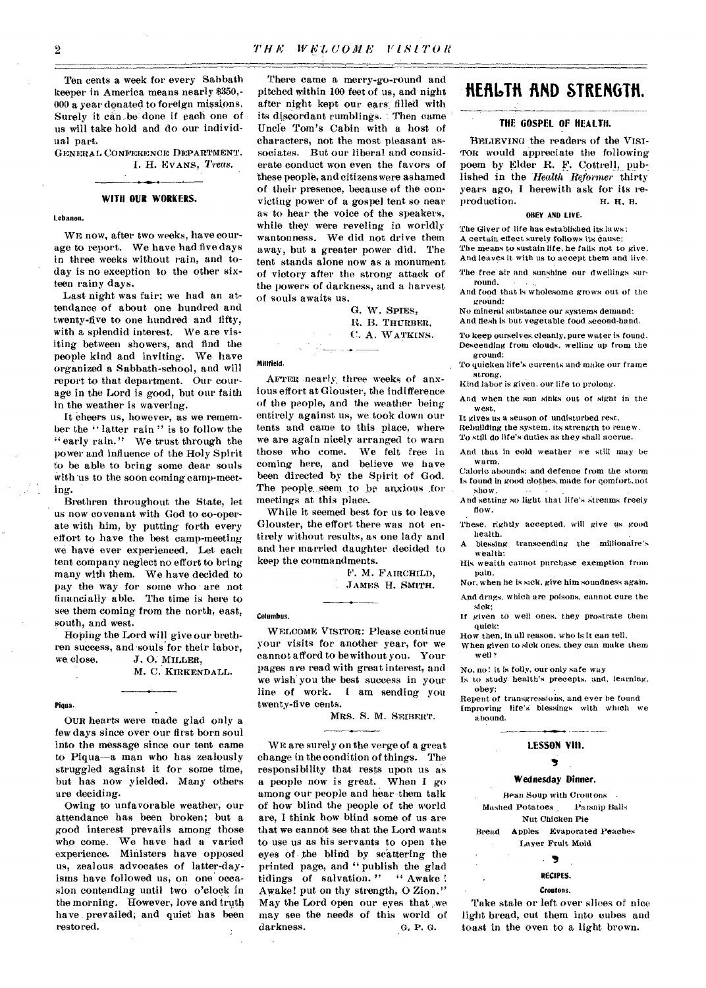Ten cents a week for every Sabbath keeper in America means nearly \$350,- 000 a year donated to foreign missions. Surely it can be done if each one of us will take hold and do our individual part.

GENERAL CONFERENCE DEPARTMENT. I. H. EVANS, *Treas.* 

## **WITH OUR WORKERS.**

Lebanon.

WE now, after two weeks, have courage to report. We have had five days in three weeks without rain, and today is no exception to the other sixteen rainy days.

Last night was fair; we had an attendance of about one hundred and twenty-five to one hundred and fifty, with a splendid interest. We are visiting between showers, and find the people kind and inviting. We have organized a Sabbath-school, and will report to that department. Our courage in the Lord is good, but our faith in the weather is wavering.

It cheers us, however, as we remember the " latter rain " is to follow the " early rain." We trust through the power and influence of the Holy Spirit to be able to bring some dear souls with 'us to the soon coming camp-meeting.

Brethren throughout the State, let us now covenant with God to co-operate with him, by putting forth every effort to have the best camp-meeting we have ever experienced. Let each tent company neglect no effort to bring many with them. We have decided to pay the way for some who are not financially able. The time is here to see them coming from the north, east, south, and west.

Hoping the Lord will give our brethren success, and souls for their labor,<br>we close. J. O. MILLER, J. O. MILLER,

M. C. KIRKENDALL.

## Piqua.

OUR hearts were made glad only a few days since over our first born soul into the message since our tent came to Piqua—a man who has zealously struggled against it for some time, but has now yielded. Many others are deciding.

Owing to unfavorable weather, our attendance has been broken; but a good interest prevails among those who come. We have had a varied experience. Ministers have opposed us, zealous advocates of latter-dayisms have followed us, on one occasion contending until two o'clock in the morning. However, love and truth have prevailed, and quiet has been restored.

There came a merry-go-round and pitched within 100 feet of us, and night after night kept our ears filled with its discordant rumblings. Then came Uncle Tom's Cabin with a host of characters, not the most pleasant associates. But our liberal and considerate conduct won even the favors of these people, and citizens were ashamed of their presence, because of the convicting power of a gospel tent so near as to hear the voice of the speakers, while they were reveling in worldly wantonness. We did not drive them away, but a greater power did: The tent stands alone now as a monument, of victory after the strong attack of the powers of darkness, and a harvest of souls awaits us.

G. W. SPIES, R. B. THURBER,

C. A. WATKINS.

## Millfield.

AFTER-nearly three weeks of anxious effort at Glouster, the indifference of the people, and the weather being entirely against us, we took down our tents and came to this place, where we are again nicely arranged to warn<br>those who come. We felt free in those who come. coming here, and believe we have been directed by the Spirit of God. The people.-seem ,to *be* anxious .for meetings at this place\_

While it seemed best for us to leave Glouster, the effort there was not entirely without results, as one lady and and her married daughter decided to keep the commandments.

> P. M. FAIRCHILD, JAMES H. SMITH.

Columbus.

WELCOME VISITOR: Please continue your visits for another year, for we cannot afford to be without you. Your pages are read with great interest, and we wish you the best success in your<br>line of work. I am sending you line of work. 1 am sending you twenty-five cents.

MRS. S. M. SEIBERT.

WE are surely on the verge of a great change in the condition of things. The responsibility that rests upon us as a people now is great. When I go among our people and hear them talk of how blind the people of the world are, I think how blind some of us are that we cannot see that the Lord wants to use us as his servants to open the eyes of the blind by scattering the printed page, and " publish the glad<br>tidings of salvation." " Awake! tidings of salvation." Awake! put on thy strength, 0 Zion." May the Lord open our eyes that we may see the needs of this world of G. P. G.

# **HERIDTH fiND STRENGTH.**

## **THE GOSPEL OF HEALTH.**

BELIEVING the readers of the VISI-TOR would appreciate the following poem by Bider R. F. Cottrell, published in the *Health Reformer* thirty years ago, I herewith ask for its reproduction. H. H. B.

## OBEY AND LIVE.

The Giver of life has established its laws:

A certain effect surely follows its Cause:

- The means to sustain life, he fails not to give. And leaves it with us to accept them and live.
- The free air and sunshine our dwellings surround.
- And food that is wholesome grows out of the ground;
- No mineral substance our systems demand:
- And flesh is but vegetable food second-hand. To keep ourselves, cleanly, pure water is found.
- Descending from clouds. welling up from the ground; To quicken life's currents and- make our frame
- strong,
- Kind labor is given. our life to prolong.
- And when the sun sinks out of sight in the west,

It gives us a season of undisturbed rest, Rebuilding the system, its strength to renew. To still do life's duties as they shall accrue.

And that in cold weather we still may be warm.

- Caloric abounds; and defence from the storm Is found in good clothes, made for comfort. not show. ,
- And setting so light that life's streams freely flow.
- These, rightly accepted, will give us good health.
- A blessing transcending the millionaire's wealth:
- His wealth cannot purchase exemption from pain,

Nor, when he is sick, give him soundness again.

- And drugs, which are poisons, cannot cure the sick;
- If given to well ones, they prostrate them quick;
- How then, *in* all reason, who is it can tell, When given to sick ones. they can make them
- well ?

No. no: it Is folly, our only safe way

- Is to study- health's precepts. and, learning. obey;
- Repent of transgressions, and ever be found Improving life's blessings with which we a bound.

## **LESSON VIII.**

## $\bullet$

## **Wednesday Dinner.**

Bean Soup with Croutons

Mashed Potatoes , Parsnip Balls

Nut Chicken Pie Bread Apples Evaporated Peaches

Layer Fruit Mold

## $\blacktriangleright$

### **RECIPES.**

Croutons.

Take stale or left over slices of nice light bread, cut them into cubes and toast in the oven to a light brown.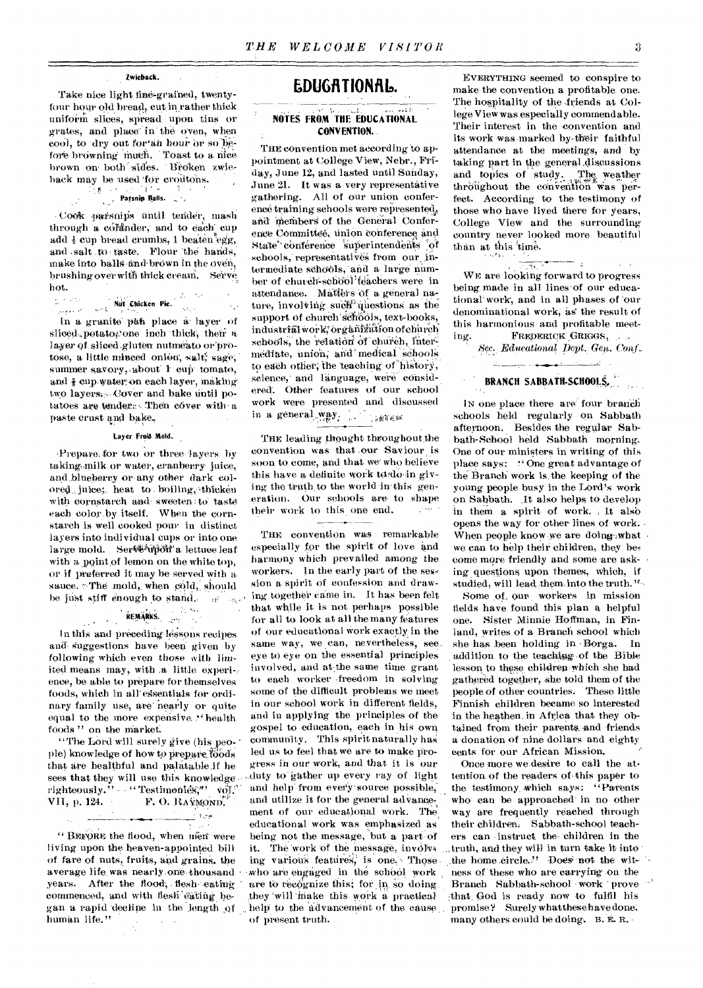## Zwieback.

Take nice light fine-grained, twentyfour hour old bread, cut in rather thick uniform slices, spread upon tins or grates, and place in the oven, when cool, to dry out for an hour or so before browning much. Toast to a nice brown on. both -sides. Broken zwieback may be used 'for croutons. 記者の一

Parsnip Bails.

Cook parsnips until tender, mash through a collander, and to each cup add  $\frac{1}{2}$  cup bread crumbs, 1 beaten egg, and salt to taste. Flour the hands, make into balls and brown in the oven, brushing over with thick cream. Serve, hot.

1, 1911<br>1, 1912 . Chicken Pie. <sup>2, 191</sup>1<br>1, 1911 . Chicken Pie. <sup>2, 19</sup>11.  $\mathcal{L}_{\mathbf{a}}$ 

in a granite' pith place a- layer of sliced. potator one inch thick, then a layer of sliced gluten nutmeato or protose, a little minced onion, salt, sage, summer savory, about 1 cup tomato, and  $\frac{2}{3}$  cup water on each layer, making two layers. Cover and bake until potatoes are tender: Then cover with a paste crust and bake,

## Layer fruit Maid.

•Prepare; for two or three 'layers by taking milk or water, cranberry juice, and.blueherry or any other dark colored, juice;, heat to boiling, thicken with cornstarch and sweeten to taste each color by itself. When the cornstarch is well cooked pour in distinct layers into individual cups or into one large mold. Serve upon a lettuce leaf with a point of lemon on the white top, or if preferred it may he served with a sauce. The mold, when cold, should he just stiff enough to stand.<br>Example:  $\langle \langle \hat{P}^{\prime} \rangle \rangle$  and  $\hat{P}^{\prime}$ 

In this and preceding lessons recipes and suggestions have been given by following which even those with limited means may, with .a little experi-, ence, be able to prepare for themselves foods, which in all' essentials for ordinary family use, are nearly or quite equal to the more expensive. "health foods" on the market.

"The Lord will surely give (his people) knowledge of how to prepare foods that are healthful and palatable if he sees that they will use this knowledge righteously."  $-$  "Testimonies;" vol. VII, p. 124. F. O. RAYMOND. F. O. RAYMOND.

#### • t.n. .<br>.........**..................**

**BEFORE** the flood, when men were living upon the heaven-appointed bill of fare of nuts, fruits, and grains, the average life, was nearly .one •thousand years. After the flood, flesh eating commenced, and with tlesh'eating began a rapid decline in the length of human life."  $\mathcal{L}$ 

# **LDUOTIONRID.**

## **NOTES FROM THE EDUCATIONAL CONVENTION..**

THE convention met according to appointment at College View, Nebr., Friday, June 12, and lasted until Sunday, June 21. It was a very representative gathering. All of our union conference training schools were represented, and members of the General Conference COmmittee., union Conference and State' conference superintendents of schools, representatives from our intermediate schools, and a large number of church-school teachers were in attendance. Matters of a general nature, involving such questions as the support of church schools, text-books, industrial work,' organization of church schools, the relation of church, intermediate, union; and' medical' schools to each other; the teaching of history, science, and language, were considered. Other features of our school work were presented and discussed in a general way. The last case

THE leading thought throughout the convention was that our Saviour is soon to come, and that we' who believe this have a definite work to do in giving the truth to the world in this gen-

eration. Our schools are. to shape

2,398

their work to this, one end.

THE convention was remarkable especially for the spirit of love and harmony which prevailed among the workers. In the early part of the session a spirit of confession and drawing together came in. It has been felt that while it is not perhaps possible for all to look at all the many features of our educational work exactly, in the same way, we can, nevertheless, see eye to eye on the essential principles involved, and at:the same time grant to each worker freedom in solving some of the difficult problems we meet in our school work in different fields, and in applying the principles of the gospel to education, each in his own community. This spirit naturally hag led us to feel that we are to make progress in our work, and that it is 'our .duty to' gather up every ray of light and help' from every-source possible, and utilize it for the general advancement of our educational work. The educational work was emphasized as. being not the message, but a part of it. The work of the message, involv+ ing various features, is one. Those who are engaged in the school work are to recognize this; for in so doing they will make this work a practical help to the advancement of the cause. of present truth.

EVERYTHING seemed to conspire to make the convention a profitable one. The hospitality of the friends at College View was especially commendable. Their interest in the convention and its work was marked by their faithful attendance at the meetings, and by taking part in the general,diseussions and topics of study. The weather throughout the convention was perfect. According to the testimony of those who have lived there for years, College View and the surrounding country never looked more beautiful than at this 'time.

WE are looking forward to progress being made in all lines of our educational work, and in all phases of 'our denominational work; as" the result of this harmonious and profitable meeting. FREpERICK GRIGGS,

*Educational Dept. Gen. Conf.* كالمستوصلها والمناد

# **BRANCH SABBATH-SCHOOLS,**

IN one place there are four branch schools held regularly on Sabbath afternoon. Besides the regular Sabbath-School held Sabbath morning. One of our ministers in writing of this place says: "One great advantage of the Branch work is. the keeping of the young people busy in the Lord's work on Sabbath. .It also helps to develop in them a spirit of work. It alsb opens the way for-other lines of work. • When people know we are doing what we can to help their children, they be. come more friendly and some are asking questions upon themes, which, if studied, will lead them:into the truth. ".•

Some of, our workers in mission fields have found this plan a helpful one. Sister Minnie Hoffman, in Finland, writes of a Branch school which she has been holding in • Borga. In addition to the teaching of the Bible lesson to these ehildren which she had gathered together, she told them of the people of other countries. These little Finnish children became so interested in the heathen, in Africa that they obtained from their parents. and friends a donation of nine dollars and eighty cents for\_ our African Mission.

Once more we desire to call the attention of the readers of-this paper to the testimony which says: "Parents who can be approached in no other way are frequently reached through their children, Sabbath-school teachers can instruct. the—children in the truth, and they will in turn take it into the home circle." Does not the witness of "these who are carrying -On the Branch Sabbath-school work 'prove :that. God is ready now to fulfil his promise? Surely whatthesehave done, many others could be doing. B. E. R.